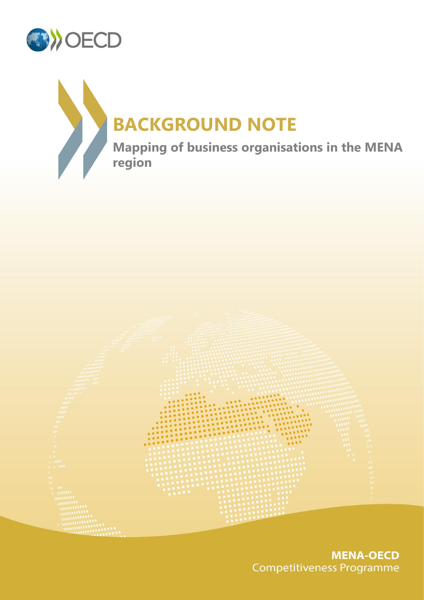





**MENA-OECD Competitiveness Programme**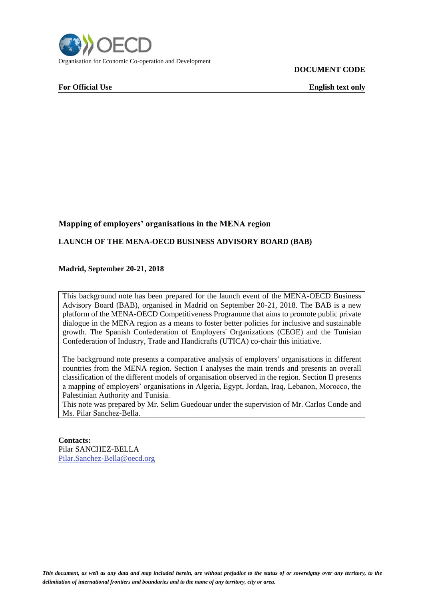

**DOCUMENT CODE**

**For Official Use English text only**

### **Mapping of employers' organisations in the MENA region**

#### **LAUNCH OF THE MENA-OECD BUSINESS ADVISORY BOARD (BAB)**

#### **Madrid, September 20-21, 2018**

This background note has been prepared for the launch event of the MENA-OECD Business Advisory Board (BAB), organised in Madrid on September 20-21, 2018. The BAB is a new platform of the MENA-OECD Competitiveness Programme that aims to promote public private dialogue in the MENA region as a means to foster better policies for inclusive and sustainable growth. The Spanish Confederation of Employers' Organizations (CEOE) and the Tunisian Confederation of Industry, Trade and Handicrafts (UTICA) co-chair this initiative.

The background note presents a comparative analysis of employers' organisations in different countries from the MENA region. Section I analyses the main trends and presents an overall classification of the different models of organisation observed in the region. Section II presents a mapping of employers' organisations in Algeria, Egypt, Jordan, Iraq, Lebanon, Morocco, the Palestinian Authority and Tunisia.

This note was prepared by Mr. Selim Guedouar under the supervision of Mr. Carlos Conde and Ms. Pilar Sanchez-Bella.

#### **Contacts:**

Pilar SANCHEZ-BELLA [Pilar.Sanchez-Bella@oecd.org](mailto:Pilar.Sanchez-Bella@oecd.org)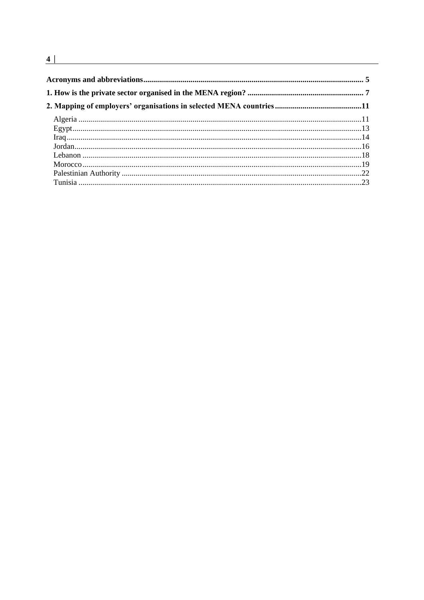$\overline{4}$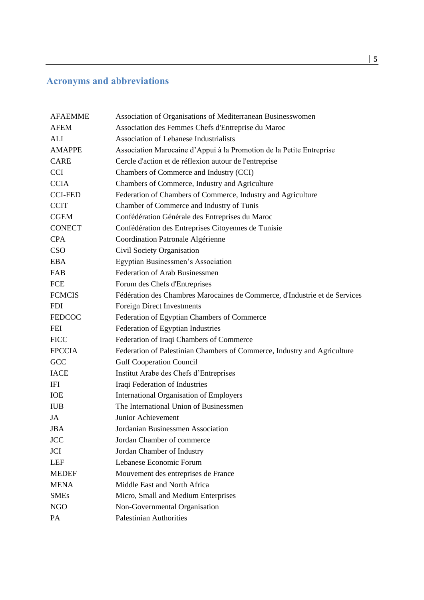# <span id="page-4-0"></span>**Acronyms and abbreviations**

| <b>AFAEMME</b> | Association of Organisations of Mediterranean Businesswomen                |
|----------------|----------------------------------------------------------------------------|
| <b>AFEM</b>    | Association des Femmes Chefs d'Entreprise du Maroc                         |
| ALI            | <b>Association of Lebanese Industrialists</b>                              |
| <b>AMAPPE</b>  | Association Marocaine d'Appui à la Promotion de la Petite Entreprise       |
| <b>CARE</b>    | Cercle d'action et de réflexion autour de l'entreprise                     |
| <b>CCI</b>     | Chambers of Commerce and Industry (CCI)                                    |
| <b>CCIA</b>    | Chambers of Commerce, Industry and Agriculture                             |
| <b>CCI-FED</b> | Federation of Chambers of Commerce, Industry and Agriculture               |
| <b>CCIT</b>    | Chamber of Commerce and Industry of Tunis                                  |
| <b>CGEM</b>    | Confédération Générale des Entreprises du Maroc                            |
| <b>CONECT</b>  | Confédération des Entreprises Citoyennes de Tunisie                        |
| <b>CPA</b>     | Coordination Patronale Algérienne                                          |
| <b>CSO</b>     | Civil Society Organisation                                                 |
| <b>EBA</b>     | Egyptian Businessmen's Association                                         |
| <b>FAB</b>     | <b>Federation of Arab Businessmen</b>                                      |
| FCE            | Forum des Chefs d'Entreprises                                              |
| <b>FCMCIS</b>  | Fédération des Chambres Marocaines de Commerce, d'Industrie et de Services |
| <b>FDI</b>     | <b>Foreign Direct Investments</b>                                          |
| <b>FEDCOC</b>  | Federation of Egyptian Chambers of Commerce                                |
| <b>FEI</b>     | Federation of Egyptian Industries                                          |
| <b>FICC</b>    | Federation of Iraqi Chambers of Commerce                                   |
| <b>FPCCIA</b>  | Federation of Palestinian Chambers of Commerce, Industry and Agriculture   |
| GCC            | <b>Gulf Cooperation Council</b>                                            |
| <b>IACE</b>    | Institut Arabe des Chefs d'Entreprises                                     |
| IFI            | Iraqi Federation of Industries                                             |
| <b>IOE</b>     | <b>International Organisation of Employers</b>                             |
| <b>IUB</b>     | The International Union of Businessmen                                     |
| JA             | Junior Achievement                                                         |
| <b>JBA</b>     | Jordanian Businessmen Association                                          |
| <b>JCC</b>     | Jordan Chamber of commerce                                                 |
| JCI            | Jordan Chamber of Industry                                                 |
| <b>LEF</b>     | Lebanese Economic Forum                                                    |
| <b>MEDEF</b>   | Mouvement des entreprises de France                                        |
| <b>MENA</b>    | Middle East and North Africa                                               |
| <b>SMEs</b>    | Micro, Small and Medium Enterprises                                        |
| <b>NGO</b>     | Non-Governmental Organisation                                              |
| PA             | <b>Palestinian Authorities</b>                                             |
|                |                                                                            |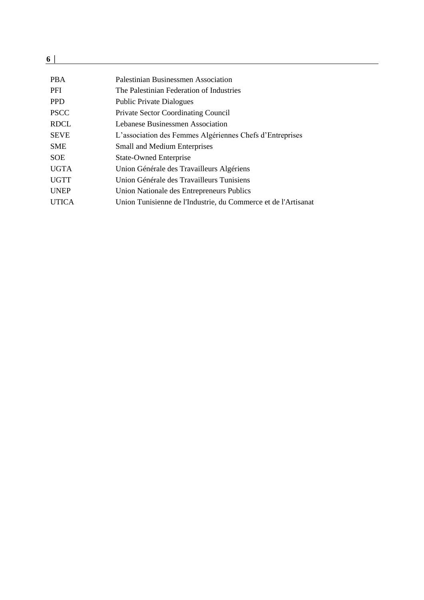| <b>PBA</b>   | Palestinian Businessmen Association                            |
|--------------|----------------------------------------------------------------|
| <b>PFI</b>   | The Palestinian Federation of Industries                       |
| <b>PPD</b>   | <b>Public Private Dialogues</b>                                |
| <b>PSCC</b>  | <b>Private Sector Coordinating Council</b>                     |
| <b>RDCL</b>  | Lebanese Businessmen Association                               |
| <b>SEVE</b>  | L'association des Femmes Algériennes Chefs d'Entreprises       |
| <b>SME</b>   | <b>Small and Medium Enterprises</b>                            |
| <b>SOE</b>   | <b>State-Owned Enterprise</b>                                  |
| <b>UGTA</b>  | Union Générale des Travailleurs Algériens                      |
| <b>UGTT</b>  | Union Générale des Travailleurs Tunisiens                      |
| <b>UNEP</b>  | Union Nationale des Entrepreneurs Publics                      |
| <b>UTICA</b> | Union Tunisienne de l'Industrie, du Commerce et de l'Artisanat |
|              |                                                                |

 $\frac{6}{6}$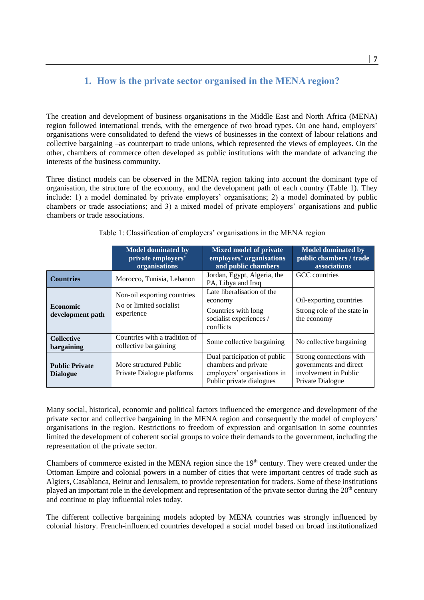# **1. How is the private sector organised in the MENA region?**

<span id="page-6-0"></span>The creation and development of business organisations in the Middle East and North Africa (MENA) region followed international trends, with the emergence of two broad types. On one hand, employers' organisations were consolidated to defend the views of businesses in the context of labour relations and collective bargaining –as counterpart to trade unions, which represented the views of employees. On the other, chambers of commerce often developed as public institutions with the mandate of advancing the interests of the business community.

Three distinct models can be observed in the MENA region taking into account the dominant type of organisation, the structure of the economy, and the development path of each country (Table 1). They include: 1) a model dominated by private employers' organisations; 2) a model dominated by public chambers or trade associations; and 3) a mixed model of private employers' organisations and public chambers or trade associations.

|                                          | <b>Model dominated by</b><br>private employers'<br>organisations     | <b>Mixed model of private</b><br>employers' organisations<br>and public chambers                                | <b>Model dominated by</b><br>public chambers / trade<br>associations                           |
|------------------------------------------|----------------------------------------------------------------------|-----------------------------------------------------------------------------------------------------------------|------------------------------------------------------------------------------------------------|
| <b>Countries</b>                         | Morocco, Tunisia, Lebanon                                            | Jordan, Egypt, Algeria, the<br>PA, Libya and Iraq                                                               | GCC countries                                                                                  |
| <b>Economic</b><br>development path      | Non-oil exporting countries<br>No or limited socialist<br>experience | Late liberalisation of the<br>economy<br>Countries with long<br>socialist experiences /<br>conflicts            | Oil-exporting countries<br>Strong role of the state in<br>the economy                          |
| <b>Collective</b><br>bargaining          | Countries with a tradition of<br>collective bargaining               | Some collective bargaining                                                                                      | No collective bargaining                                                                       |
| <b>Public Private</b><br><b>Dialogue</b> | More structured Public<br>Private Dialogue platforms                 | Dual participation of public<br>chambers and private<br>employers' organisations in<br>Public private dialogues | Strong connections with<br>governments and direct<br>involvement in Public<br>Private Dialogue |

Table 1: Classification of employers' organisations in the MENA region

Many social, historical, economic and political factors influenced the emergence and development of the private sector and collective bargaining in the MENA region and consequently the model of employers' organisations in the region. Restrictions to freedom of expression and organisation in some countries limited the development of coherent social groups to voice their demands to the government, including the representation of the private sector.

Chambers of commerce existed in the MENA region since the  $19<sup>th</sup>$  century. They were created under the Ottoman Empire and colonial powers in a number of cities that were important centres of trade such as Algiers, Casablanca, Beirut and Jerusalem, to provide representation for traders. Some of these institutions played an important role in the development and representation of the private sector during the  $20<sup>th</sup>$  century and continue to play influential roles today.

The different collective bargaining models adopted by MENA countries was strongly influenced by colonial history. French-influenced countries developed a social model based on broad institutionalized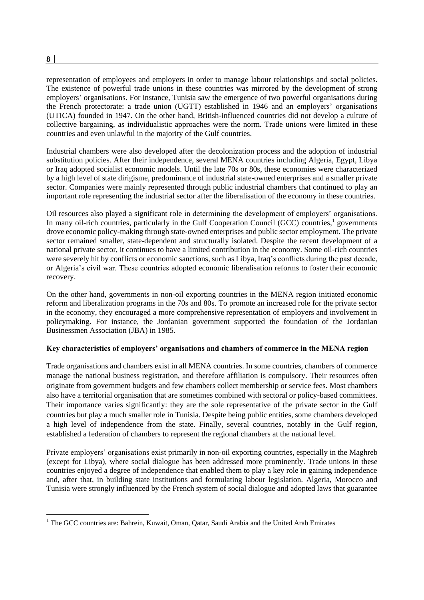**8 │** 

1

representation of employees and employers in order to manage labour relationships and social policies. The existence of powerful trade unions in these countries was mirrored by the development of strong employers' organisations. For instance, Tunisia saw the emergence of two powerful organisations during the French protectorate: a trade union (UGTT) established in 1946 and an employers' organisations (UTICA) founded in 1947. On the other hand, British-influenced countries did not develop a culture of collective bargaining, as individualistic approaches were the norm. Trade unions were limited in these countries and even unlawful in the majority of the Gulf countries.

Industrial chambers were also developed after the decolonization process and the adoption of industrial substitution policies. After their independence, several MENA countries including Algeria, Egypt, Libya or Iraq adopted socialist economic models. Until the late 70s or 80s, these economies were characterized by a high level of state dirigisme, predominance of industrial state-owned enterprises and a smaller private sector. Companies were mainly represented through public industrial chambers that continued to play an important role representing the industrial sector after the liberalisation of the economy in these countries.

Oil resources also played a significant role in determining the development of employers' organisations. In many oil-rich countries, particularly in the Gulf Cooperation Council (GCC) countries,<sup>1</sup> governments drove economic policy-making through state-owned enterprises and public sector employment. The private sector remained smaller, state-dependent and structurally isolated. Despite the recent development of a national private sector, it continues to have a limited contribution in the economy. Some oil-rich countries were severely hit by conflicts or economic sanctions, such as Libya, Iraq's conflicts during the past decade, or Algeria's civil war. These countries adopted economic liberalisation reforms to foster their economic recovery.

On the other hand, governments in non-oil exporting countries in the MENA region initiated economic reform and liberalization programs in the 70s and 80s. To promote an increased role for the private sector in the economy, they encouraged a more comprehensive representation of employers and involvement in policymaking. For instance, the Jordanian government supported the foundation of the Jordanian Businessmen Association (JBA) in 1985.

#### **Key characteristics of employers' organisations and chambers of commerce in the MENA region**

Trade organisations and chambers exist in all MENA countries. In some countries, chambers of commerce manage the national business registration, and therefore affiliation is compulsory. Their resources often originate from government budgets and few chambers collect membership or service fees. Most chambers also have a territorial organisation that are sometimes combined with sectoral or policy-based committees. Their importance varies significantly: they are the sole representative of the private sector in the Gulf countries but play a much smaller role in Tunisia. Despite being public entities, some chambers developed a high level of independence from the state. Finally, several countries, notably in the Gulf region, established a federation of chambers to represent the regional chambers at the national level.

Private employers' organisations exist primarily in non-oil exporting countries, especially in the Maghreb (except for Libya), where social dialogue has been addressed more prominently. Trade unions in these countries enjoyed a degree of independence that enabled them to play a key role in gaining independence and, after that, in building state institutions and formulating labour legislation. Algeria, Morocco and Tunisia were strongly influenced by the French system of social dialogue and adopted laws that guarantee

 $1$  The GCC countries are: Bahrein, Kuwait, Oman, Oatar, Saudi Arabia and the United Arab Emirates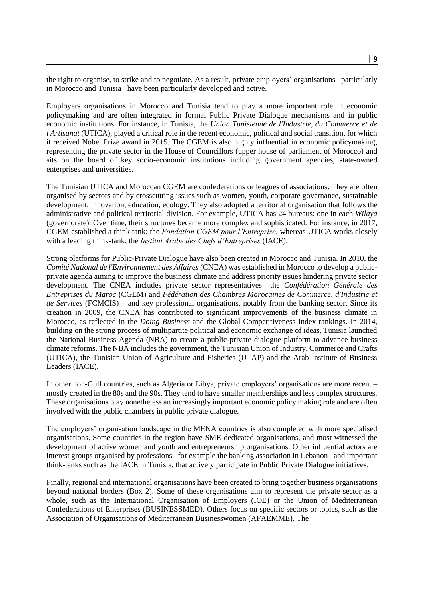the right to organise, to strike and to negotiate. As a result, private employers' organisations –particularly in Morocco and Tunisia– have been particularly developed and active.

Employers organisations in Morocco and Tunisia tend to play a more important role in economic policymaking and are often integrated in formal Public Private Dialogue mechanisms and in public economic institutions. For instance, in Tunisia, the *Union Tunisienne de l'Industrie, du Commerce et de l'Artisanat* (UTICA), played a critical role in the recent economic, political and social transition, for which it received Nobel Prize award in 2015. The CGEM is also highly influential in economic policymaking, representing the private sector in the House of Councillors (upper house of parliament of Morocco) and sits on the board of key socio-economic institutions including government agencies, state-owned enterprises and universities.

The Tunisian UTICA and Moroccan CGEM are confederations or leagues of associations. They are often organised by sectors and by crosscutting issues such as women, youth, corporate governance, sustainable development, innovation, education, ecology. They also adopted a territorial organisation that follows the administrative and political territorial division. For example, UTICA has 24 bureaus: one in each *Wilaya* (governorate). Over time, their structures became more complex and sophisticated. For instance, in 2017, CGEM established a think tank: the *Fondation CGEM pour l'Entreprise*, whereas UTICA works closely with a leading think-tank, the *Institut Arabe des Chefs d'Entreprises* (IACE).

Strong platforms for Public-Private Dialogue have also been created in Morocco and Tunisia. In 2010, the *Comité National de l'Environnement des Affaires* (CNEA) was established in Morocco to develop a publicprivate agenda aiming to improve the business climate and address priority issues hindering private sector development. The CNEA includes private sector representatives –the *Confédération Générale des Entreprises du Maroc* (CGEM) and *Fédération des Chambres Marocaines de Commerce, d'Industrie et de Services* (FCMCIS) – and key professional organisations, notably from the banking sector. Since its creation in 2009, the CNEA has contributed to significant improvements of the business climate in Morocco, as reflected in the *Doing Business* and the Global Competitiveness Index rankings. In 2014, building on the strong process of multipartite political and economic exchange of ideas, Tunisia launched the National Business Agenda (NBA) to create a public-private dialogue platform to advance business climate reforms. The NBA includes the government, the Tunisian Union of Industry, Commerce and Crafts (UTICA), the Tunisian Union of Agriculture and Fisheries (UTAP) and the Arab Institute of Business Leaders (IACE).

In other non-Gulf countries, such as Algeria or Libya, private employers' organisations are more recent – mostly created in the 80s and the 90s. They tend to have smaller memberships and less complex structures. These organisations play nonetheless an increasingly important economic policy making role and are often involved with the public chambers in public private dialogue.

The employers' organisation landscape in the MENA countries is also completed with more specialised organisations. Some countries in the region have SME-dedicated organisations, and most witnessed the development of active women and youth and entrepreneurship organisations. Other influential actors are interest groups organised by professions –for example the banking association in Lebanon– and important think-tanks such as the IACE in Tunisia, that actively participate in Public Private Dialogue initiatives.

Finally, regional and international organisations have been created to bring together business organisations beyond national borders (Box 2). Some of these organisations aim to represent the private sector as a whole, such as the International Organisation of Employers (IOE) or the Union of Mediterranean Confederations of Enterprises (BUSINESSMED). Others focus on specific sectors or topics, such as the Association of Organisations of Mediterranean Businesswomen (AFAEMME). The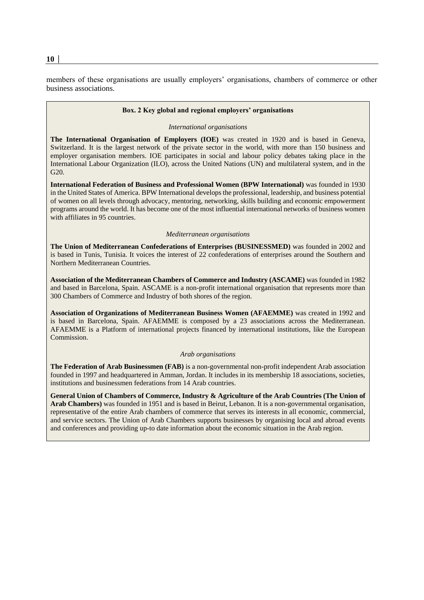members of these organisations are usually employers' organisations, chambers of commerce or other business associations.

#### **Box. 2 Key global and regional employers' organisations**

#### *International organisations*

**The International Organisation of Employers (IOE)** was created in 1920 and is based in Geneva, Switzerland. It is the largest network of the private sector in the world, with more than 150 business and employer organisation members. IOE participates in social and labour policy debates taking place in the International Labour Organization (ILO), across the United Nations (UN) and multilateral system, and in the G20.

**International Federation of Business and Professional Women (BPW International)** was founded in 1930 in the United States of America. BPW International develops the professional, leadership, and business potential of women on all levels through advocacy, mentoring, networking, skills building and economic empowerment programs around the world. It has become one of the most influential international networks of business women with affiliates in 95 countries.

#### *Mediterranean organisations*

**The Union of Mediterranean Confederations of Enterprises (BUSINESSMED)** was founded in 2002 and is based in Tunis, Tunisia. It voices the interest of 22 confederations of enterprises around the Southern and Northern Mediterranean Countries.

**Association of the Mediterranean Chambers of Commerce and Industry (ASCAME)** was founded in 1982 and based in Barcelona, Spain. ASCAME is a non-profit international organisation that represents more than 300 Chambers of Commerce and Industry of both shores of the region.

**Association of Organizations of Mediterranean Business Women (AFAEMME)** was created in 1992 and is based in Barcelona, Spain. AFAEMME is composed by a 23 associations across the Mediterranean. AFAEMME is a Platform of international projects financed by international institutions, like the European Commission.

#### *Arab organisations*

**The Federation of Arab Businessmen (FAB)** is a non-governmental non-profit independent Arab association founded in 1997 and headquartered in Amman, Jordan. It includes in its membership 18 associations, societies, institutions and businessmen federations from 14 Arab countries.

**General Union of Chambers of Commerce, Industry & Agriculture of the Arab Countries (The Union of Arab Chambers)** was founded in 1951 and is based in Beirut, Lebanon. It is a non-governmental organisation, representative of the entire Arab chambers of commerce that serves its interests in all economic, commercial, and service sectors. The Union of Arab Chambers supports businesses by organising local and abroad events and conferences and providing up-to date information about the economic situation in the Arab region.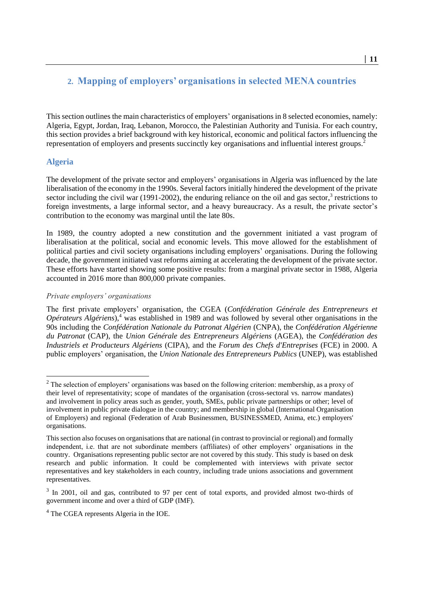# <span id="page-10-0"></span>**2. Mapping of employers' organisations in selected MENA countries**

This section outlines the main characteristics of employers' organisations in 8 selected economies, namely: Algeria, Egypt, Jordan, Iraq, Lebanon, Morocco, the Palestinian Authority and Tunisia. For each country, this section provides a brief background with key historical, economic and political factors influencing the representation of employers and presents succinctly key organisations and influential interest groups.<sup>2</sup>

### <span id="page-10-1"></span>**Algeria**

-

The development of the private sector and employers' organisations in Algeria was influenced by the late liberalisation of the economy in the 1990s. Several factors initially hindered the development of the private sector including the civil war (1991-2002), the enduring reliance on the oil and gas sector,<sup>3</sup> restrictions to foreign investments, a large informal sector, and a heavy bureaucracy. As a result, the private sector's contribution to the economy was marginal until the late 80s.

In 1989, the country adopted a new constitution and the government initiated a vast program of liberalisation at the political, social and economic levels. This move allowed for the establishment of political parties and civil society organisations including employers' organisations. During the following decade, the government initiated vast reforms aiming at accelerating the development of the private sector. These efforts have started showing some positive results: from a marginal private sector in 1988, Algeria accounted in 2016 more than 800,000 private companies.

#### *Private employers' organisations*

The first private employers' organisation, the CGEA (*Confédération Générale des Entrepreneurs et Opérateurs Algériens*),<sup>4</sup> was established in 1989 and was followed by several other organisations in the 90s including the *Confédération Nationale du Patronat Algérien* (CNPA), the *Confédération Algérienne du Patronat* (CAP), the *Union Générale des Entrepreneurs Algériens* (AGEA), the *Confédération des Industriels et Producteurs Algériens* (CIPA), and the *Forum des Chefs d'Entreprises* (FCE) in 2000. A public employers' organisation, the *Union Nationale des Entrepreneurs Publics* (UNEP), was established

<sup>&</sup>lt;sup>2</sup> The selection of employers' organisations was based on the following criterion: membership, as a proxy of their level of representativity; scope of mandates of the organisation (cross-sectoral vs. narrow mandates) and involvement in policy areas such as gender, youth, SMEs, public private partnerships or other; level of involvement in public private dialogue in the country; and membership in global (International Organisation of Employers) and regional (Federation of Arab Businessmen, BUSINESSMED, Anima, etc.) employers' organisations.

This section also focuses on organisations that are national (in contrast to provincial or regional) and formally independent, i.e. that are not subordinate members (affiliates) of other employers' organisations in the country. Organisations representing public sector are not covered by this study. This study is based on desk research and public information. It could be complemented with interviews with private sector representatives and key stakeholders in each country, including trade unions associations and government representatives.

<sup>&</sup>lt;sup>3</sup> In 2001, oil and gas, contributed to 97 per cent of total exports, and provided almost two-thirds of government income and over a third of GDP (IMF).

<sup>4</sup> The CGEA represents Algeria in the IOE.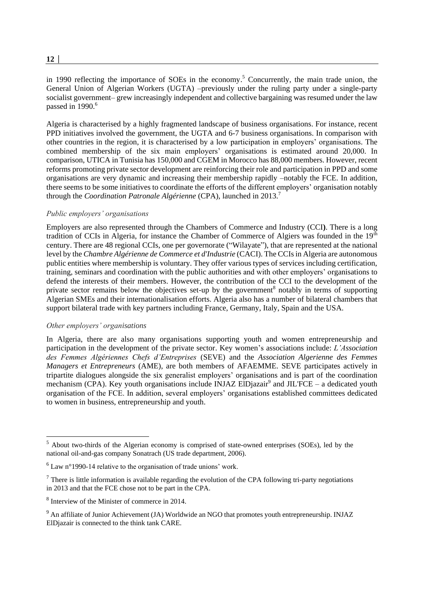#### in 1990 reflecting the importance of SOEs in the economy. <sup>5</sup> Concurrently, the main trade union, the General Union of Algerian Workers (UGTA) –previously under the ruling party under a single-party socialist government– grew increasingly independent and collective bargaining was resumed under the law passed in  $1990$ .<sup>6</sup>

Algeria is characterised by a highly fragmented landscape of business organisations. For instance, recent PPD initiatives involved the government, the UGTA and 6-7 business organisations. In comparison with other countries in the region, it is characterised by a low participation in employers' organisations. The combined membership of the six main employers' organisations is estimated around 20,000. In comparison, UTICA in Tunisia has 150,000 and CGEM in Morocco has 88,000 members. However, recent reforms promoting private sector development are reinforcing their role and participation in PPD and some organisations are very dynamic and increasing their membership rapidly –notably the FCE. In addition, there seems to be some initiatives to coordinate the efforts of the different employers' organisation notably through the *Coordination Patronale Algérienne* (CPA), launched in 2013.<sup>7</sup>

#### *Public employers' organisations*

Employers are also represented through the Chambers of Commerce and Industry (CCI**)**. There is a long tradition of CCIs in Algeria, for instance the Chamber of Commerce of Algiers was founded in the 19<sup>th</sup> century. There are 48 regional CCIs, one per governorate ("Wilayate"), that are represented at the national level by the *Chambre Algérienne de Commerce et d'Industrie* (CACI). The CCIs in Algeria are autonomous public entities where membership is voluntary. They offer various types of services including certification, training, seminars and coordination with the public authorities and with other employers' organisations to defend the interests of their members. However, the contribution of the CCI to the development of the private sector remains below the objectives set-up by the government<sup>8</sup> notably in terms of supporting Algerian SMEs and their internationalisation efforts. Algeria also has a number of bilateral chambers that support bilateral trade with key partners including France, Germany, Italy, Spain and the USA.

#### *Other employers' organisations*

1

In Algeria, there are also many organisations supporting youth and women entrepreneurship and participation in the development of the private sector. Key women's associations include: *L'Association des Femmes Algériennes Chefs d'Entreprises* (SEVE) and the *Association Algerienne des Femmes Managers et Entrepreneurs* (AME), are both members of AFAEMME. SEVE participates actively in tripartite dialogues alongside the six generalist employers' organisations and is part of the coordination mechanism (CPA). Key youth organisations include INJAZ ElDjazair<sup>9</sup> and JIL'FCE – a dedicated youth organisation of the FCE. In addition, several employers' organisations established committees dedicated to women in business, entrepreneurship and youth.

<sup>&</sup>lt;sup>5</sup> About two-thirds of the Algerian economy is comprised of state-owned enterprises (SOEs), led by the national oil-and-gas company Sonatrach (US trade department, 2006).

 $6$  Law n°1990-14 relative to the organisation of trade unions' work.

 $<sup>7</sup>$  There is little information is available regarding the evolution of the CPA following tri-party negotiations</sup> in 2013 and that the FCE chose not to be part in the CPA.

<sup>8</sup> Interview of the Minister of commerce in 2014.

<sup>&</sup>lt;sup>9</sup> An affiliate of Junior Achievement (JA) Worldwide an NGO that promotes youth entrepreneurship. INJAZ ElDjazair is connected to the think tank CARE.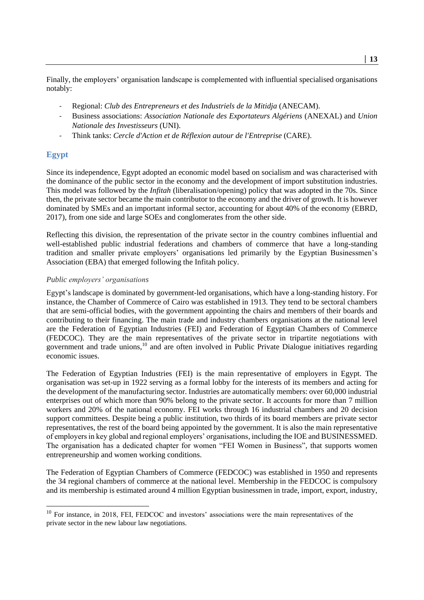Finally, the employers' organisation landscape is complemented with influential specialised organisations notably:

- Regional: *Club des Entrepreneurs et des Industriels de la Mitidja* (ANECAM).
- Business associations: *Association Nationale des Exportateurs Algériens* (ANEXAL) and *Union Nationale des Investisseurs* (UNI).
- Think tanks: *Cercle d'Action et de Réflexion autour de l'Entreprise* (CARE).

#### <span id="page-12-0"></span>**Egypt**

1

Since its independence, Egypt adopted an economic model based on socialism and was characterised with the dominance of the public sector in the economy and the development of import substitution industries. This model was followed by the *Infitah* (liberalisation/opening) policy that was adopted in the 70s. Since then, the private sector became the main contributor to the economy and the driver of growth. It is however dominated by SMEs and an important informal sector, accounting for about 40% of the economy (EBRD, 2017), from one side and large SOEs and conglomerates from the other side.

Reflecting this division, the representation of the private sector in the country combines influential and well-established public industrial federations and chambers of commerce that have a long-standing tradition and smaller private employers' organisations led primarily by the Egyptian Businessmen's Association (EBA) that emerged following the Infitah policy.

#### *Public employers' organisations*

Egypt's landscape is dominated by government-led organisations, which have a long-standing history. For instance, the Chamber of Commerce of Cairo was established in 1913. They tend to be sectoral chambers that are semi-official bodies, with the government appointing the chairs and members of their boards and contributing to their financing. The main trade and industry chambers organisations at the national level are the Federation of Egyptian Industries (FEI) and Federation of Egyptian Chambers of Commerce (FEDCOC). They are the main representatives of the private sector in tripartite negotiations with government and trade unions,<sup>10</sup> and are often involved in Public Private Dialogue initiatives regarding economic issues.

The Federation of Egyptian Industries (FEI) is the main representative of employers in Egypt. The organisation was set-up in 1922 serving as a formal lobby for the interests of its members and acting for the development of the manufacturing sector. Industries are automatically members: over 60,000 industrial enterprises out of which more than 90% belong to the private sector. It accounts for more than 7 million workers and 20% of the national economy. FEI works through 16 industrial chambers and 20 decision support committees. Despite being a public institution, two thirds of its board members are private sector representatives, the rest of the board being appointed by the government. It is also the main representative of employers in key global and regional employers' organisations, including the IOE and BUSINESSMED. The organisation has a dedicated chapter for women "FEI Women in Business", that supports women entrepreneurship and women working conditions.

The Federation of Egyptian Chambers of Commerce (FEDCOC) was established in 1950 and represents the 34 regional chambers of commerce at the national level. Membership in the FEDCOC is compulsory and its membership is estimated around 4 million Egyptian businessmen in trade, import, export, industry,

<sup>&</sup>lt;sup>10</sup> For instance, in 2018, FEI, FEDCOC and investors' associations were the main representatives of the private sector in the new labour law negotiations.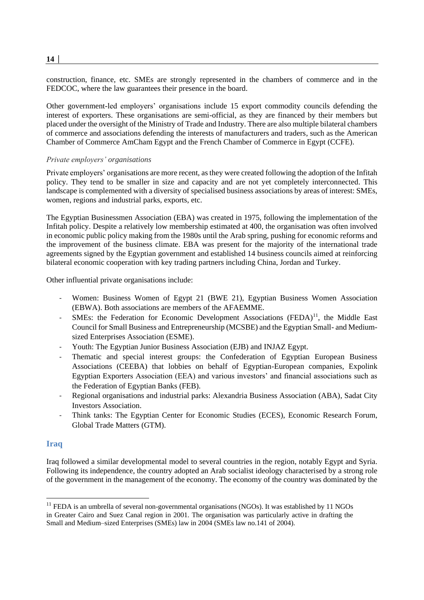construction, finance, etc. SMEs are strongly represented in the chambers of commerce and in the FEDCOC, where the law guarantees their presence in the board.

Other government-led employers' organisations include 15 export commodity councils defending the interest of exporters. These organisations are semi-official, as they are financed by their members but placed under the oversight of the Ministry of Trade and Industry. There are also multiple bilateral chambers of commerce and associations defending the interests of manufacturers and traders, such as the American Chamber of Commerce AmCham Egypt and the French Chamber of Commerce in Egypt (CCFE).

#### *Private employers' organisations*

Private employers' organisations are more recent, as they were created following the adoption of the Infitah policy. They tend to be smaller in size and capacity and are not yet completely interconnected. This landscape is complemented with a diversity of specialised business associations by areas of interest: SMEs, women, regions and industrial parks, exports, etc.

The Egyptian Businessmen Association (EBA) was created in 1975, following the implementation of the Infitah policy. Despite a relatively low membership estimated at 400, the organisation was often involved in economic public policy making from the 1980s until the Arab spring, pushing for economic reforms and the improvement of the business climate. EBA was present for the majority of the international trade agreements signed by the Egyptian government and established 14 business councils aimed at reinforcing bilateral economic cooperation with key trading partners including China, Jordan and Turkey.

Other influential private organisations include:

- Women: Business Women of Egypt 21 (BWE 21), Egyptian Business Women Association (EBWA). Both associations are members of the AFAEMME.
- SMEs: the Federation for Economic Development Associations  $(FEDA)^{11}$ , the Middle East Council for Small Business and Entrepreneurship (MCSBE) and the Egyptian Small- and Mediumsized Enterprises Association (ESME).
- Youth: The Egyptian Junior Business Association (EJB) and INJAZ Egypt.
- Thematic and special interest groups: the Confederation of Egyptian European Business Associations (CEEBA) that lobbies on behalf of Egyptian-European companies, Expolink Egyptian Exporters Association (EEA) and various investors' and financial associations such as the Federation of Egyptian Banks (FEB).
- Regional organisations and industrial parks: Alexandria Business Association (ABA), Sadat City Investors Association.
- Think tanks: The Egyptian Center for Economic Studies (ECES), Economic Research Forum, Global Trade Matters (GTM).

#### <span id="page-13-0"></span>**Iraq**

-

Iraq followed a similar developmental model to several countries in the region, notably Egypt and Syria. Following its independence, the country adopted an Arab socialist ideology characterised by a strong role of the government in the management of the economy. The economy of the country was dominated by the

**14 │** 

 $11$  FEDA is an umbrella of several non-governmental organisations (NGOs). It was established by 11 NGOs in Greater Cairo and Suez Canal region in 2001. The organisation was particularly active in drafting the Small and Medium–sized Enterprises (SMEs) law in 2004 (SMEs law no.141 of 2004).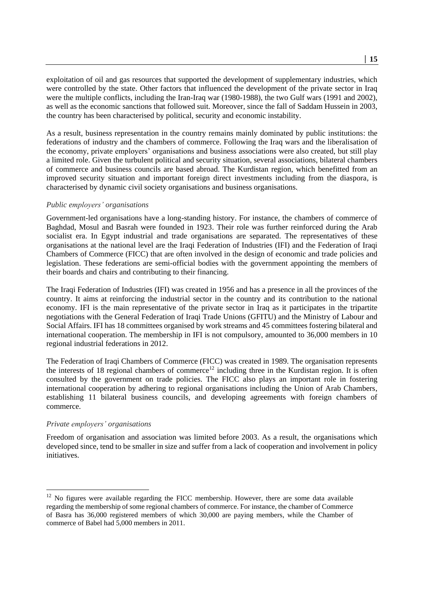exploitation of oil and gas resources that supported the development of supplementary industries, which were controlled by the state. Other factors that influenced the development of the private sector in Iraq were the multiple conflicts, including the Iran-Iraq war (1980-1988), the two Gulf wars (1991 and 2002), as well as the economic sanctions that followed suit. Moreover, since the fall of Saddam Hussein in 2003, the country has been characterised by political, security and economic instability.

As a result, business representation in the country remains mainly dominated by public institutions: the federations of industry and the chambers of commerce. Following the Iraq wars and the liberalisation of the economy, private employers' organisations and business associations were also created, but still play a limited role. Given the turbulent political and security situation, several associations, bilateral chambers of commerce and business councils are based abroad. The Kurdistan region, which benefitted from an improved security situation and important foreign direct investments including from the diaspora, is characterised by dynamic civil society organisations and business organisations.

#### *Public employers' organisations*

Government-led organisations have a long-standing history. For instance, the chambers of commerce of Baghdad, Mosul and Basrah were founded in 1923. Their role was further reinforced during the Arab socialist era. In Egypt industrial and trade organisations are separated. The representatives of these organisations at the national level are the Iraqi Federation of Industries (IFI) and the Federation of Iraqi Chambers of Commerce (FICC) that are often involved in the design of economic and trade policies and legislation. These federations are semi-official bodies with the government appointing the members of their boards and chairs and contributing to their financing.

The Iraqi Federation of Industries (IFI) was created in 1956 and has a presence in all the provinces of the country. It aims at reinforcing the industrial sector in the country and its contribution to the national economy. IFI is the main representative of the private sector in Iraq as it participates in the tripartite negotiations with the General Federation of Iraqi Trade Unions (GFITU) and the Ministry of Labour and Social Affairs. IFI has 18 committees organised by work streams and 45 committees fostering bilateral and international cooperation. The membership in IFI is not compulsory, amounted to 36,000 members in 10 regional industrial federations in 2012.

The Federation of Iraqi Chambers of Commerce (FICC) was created in 1989. The organisation represents the interests of 18 regional chambers of commerce<sup>12</sup> including three in the Kurdistan region. It is often consulted by the government on trade policies. The FICC also plays an important role in fostering international cooperation by adhering to regional organisations including the Union of Arab Chambers, establishing 11 bilateral business councils, and developing agreements with foreign chambers of commerce.

#### *Private employers' organisations*

1

Freedom of organisation and association was limited before 2003. As a result, the organisations which developed since, tend to be smaller in size and suffer from a lack of cooperation and involvement in policy initiatives.

 $12$  No figures were available regarding the FICC membership. However, there are some data available regarding the membership of some regional chambers of commerce. For instance, the chamber of Commerce of Basra has 36,000 registered members of which 30,000 are paying members, while the Chamber of commerce of Babel had 5,000 members in 2011.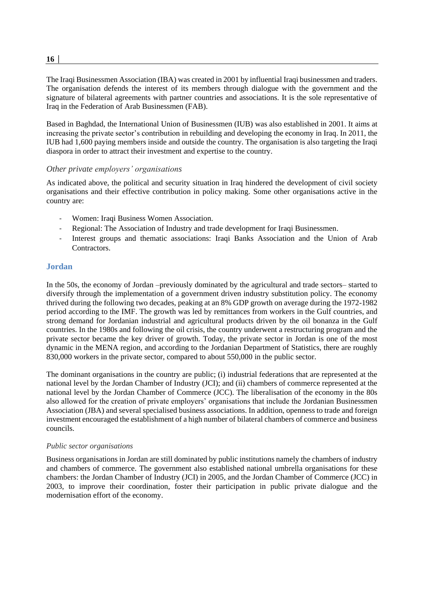$16<sup>1</sup>$ 

The Iraqi Businessmen Association (IBA) was created in 2001 by influential Iraqi businessmen and traders. The organisation defends the interest of its members through dialogue with the government and the signature of bilateral agreements with partner countries and associations. It is the sole representative of Iraq in the Federation of Arab Businessmen (FAB).

Based in Baghdad, the International Union of Businessmen (IUB) was also established in 2001. It aims at increasing the private sector's contribution in rebuilding and developing the economy in Iraq. In 2011, the IUB had 1,600 paying members inside and outside the country. The organisation is also targeting the Iraqi diaspora in order to attract their investment and expertise to the country.

#### *Other private employers' organisations*

As indicated above, the political and security situation in Iraq hindered the development of civil society organisations and their effective contribution in policy making. Some other organisations active in the country are:

- Women: Iraqi Business Women Association.
- Regional: The Association of Industry and trade development for Iraqi Businessmen.
- Interest groups and thematic associations: Iraqi Banks Association and the Union of Arab **Contractors**

#### <span id="page-15-0"></span>**Jordan**

In the 50s, the economy of Jordan –previously dominated by the agricultural and trade sectors– started to diversify through the implementation of a government driven industry substitution policy. The economy thrived during the following two decades, peaking at an 8% GDP growth on average during the 1972-1982 period according to the IMF. The growth was led by remittances from workers in the Gulf countries, and strong demand for Jordanian industrial and agricultural products driven by the oil bonanza in the Gulf countries. In the 1980s and following the oil crisis, the country underwent a restructuring program and the private sector became the key driver of growth. Today, the private sector in Jordan is one of the most dynamic in the MENA region, and according to the Jordanian Department of Statistics, there are roughly 830,000 workers in the private sector, compared to about 550,000 in the public sector.

The dominant organisations in the country are public; (i) industrial federations that are represented at the national level by the Jordan Chamber of Industry (JCI); and (ii) chambers of commerce represented at the national level by the Jordan Chamber of Commerce (JCC). The liberalisation of the economy in the 80s also allowed for the creation of private employers' organisations that include the Jordanian Businessmen Association (JBA) and several specialised business associations. In addition, openness to trade and foreign investment encouraged the establishment of a high number of bilateral chambers of commerce and business councils.

#### *Public sector organisations*

Business organisations in Jordan are still dominated by public institutions namely the chambers of industry and chambers of commerce. The government also established national umbrella organisations for these chambers: the Jordan Chamber of Industry (JCI) in 2005, and the Jordan Chamber of Commerce (JCC) in 2003, to improve their coordination, foster their participation in public private dialogue and the modernisation effort of the economy.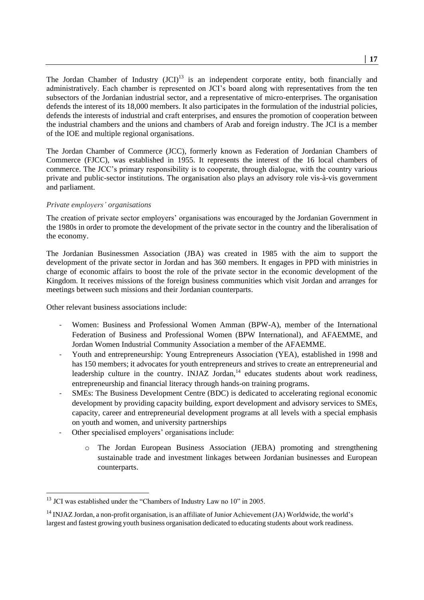The Jordan Chamber of Industry (JCI)<sup>13</sup> is an independent corporate entity, both financially and administratively. Each chamber is represented on JCI's board along with representatives from the ten subsectors of the Jordanian industrial sector, and a representative of micro-enterprises. The organisation defends the interest of its 18,000 members. It also participates in the formulation of the industrial policies, defends the interests of industrial and craft enterprises, and ensures the promotion of cooperation between the industrial chambers and the unions and chambers of Arab and foreign industry. The JCI is a member of the IOE and multiple regional organisations.

The Jordan Chamber of Commerce (JCC), formerly known as Federation of Jordanian Chambers of Commerce (FJCC), was established in 1955. It represents the interest of the 16 local chambers of commerce. The JCC's primary responsibility is to cooperate, through dialogue, with the country various private and public-sector institutions. The organisation also plays an advisory role vis-à-vis government and parliament.

#### *Private employers' organisations*

The creation of private sector employers' organisations was encouraged by the Jordanian Government in the 1980s in order to promote the development of the private sector in the country and the liberalisation of the economy.

The Jordanian Businessmen Association (JBA) was created in 1985 with the aim to support the development of the private sector in Jordan and has 360 members. It engages in PPD with ministries in charge of economic affairs to boost the role of the private sector in the economic development of the Kingdom. It receives missions of the foreign business communities which visit Jordan and arranges for meetings between such missions and their Jordanian counterparts.

Other relevant business associations include:

1

- Women: Business and Professional Women Amman (BPW-A), member of the International Federation of Business and Professional Women (BPW International), and AFAEMME, and Jordan Women Industrial Community Association a member of the AFAEMME.
- Youth and entrepreneurship: Young Entrepreneurs Association (YEA), established in 1998 and has 150 members; it advocates for youth entrepreneurs and strives to create an entrepreneurial and leadership culture in the country. INJAZ Jordan,<sup>14</sup> educates students about work readiness, entrepreneurship and financial literacy through hands-on training programs.
- SMEs: The Business Development Centre (BDC) is dedicated to accelerating regional economic development by providing capacity building, export development and advisory services to SMEs, capacity, career and entrepreneurial development programs at all levels with a special emphasis on youth and women, and university partnerships
- Other specialised employers' organisations include:
	- o The Jordan European Business Association (JEBA) promoting and strengthening sustainable trade and investment linkages between Jordanian businesses and European counterparts.

 $13$  JCI was established under the "Chambers of Industry Law no  $10$ " in 2005.

<sup>&</sup>lt;sup>14</sup> INJAZ Jordan, a non-profit organisation, is an affiliate of Junior Achievement (JA) Worldwide, the world's largest and fastest growing youth business organisation dedicated to educating students about work readiness.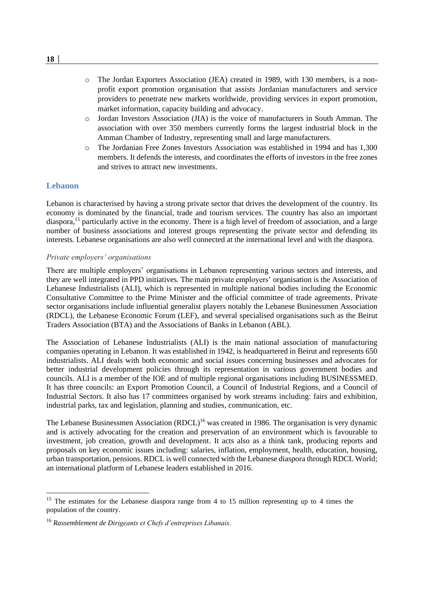- o The Jordan Exporters Association (JEA) created in 1989, with 130 members, is a nonprofit export promotion organisation that assists Jordanian manufacturers and service providers to penetrate new markets worldwide, providing services in export promotion, market information, capacity building and advocacy.
- o Jordan Investors Association (JIA) is the voice of manufacturers in South Amman. The association with over 350 members currently forms the largest industrial block in the Amman Chamber of Industry, representing small and large manufacturers.
- o The Jordanian Free Zones Investors Association was established in 1994 and has 1,300 members. It defends the interests, and coordinates the efforts of investors in the free zones and strives to attract new investments.

#### <span id="page-17-0"></span>**Lebanon**

1

Lebanon is characterised by having a strong private sector that drives the development of the country. Its economy is dominated by the financial, trade and tourism services. The country has also an important diaspora, <sup>15</sup> particularly active in the economy. There is a high level of freedom of association, and a large number of business associations and interest groups representing the private sector and defending its interests. Lebanese organisations are also well connected at the international level and with the diaspora.

#### *Private employers' organisations*

There are multiple employers' organisations in Lebanon representing various sectors and interests, and they are well integrated in PPD initiatives. The main private employers' organisation is the Association of Lebanese Industrialists (ALI), which is represented in multiple national bodies including the Economic Consultative Committee to the Prime Minister and the official committee of trade agreements. Private sector organisations include influential generalist players notably the Lebanese Businessmen Association (RDCL), the Lebanese Economic Forum (LEF), and several specialised organisations such as the Beirut Traders Association (BTA) and the Associations of Banks in Lebanon (ABL).

The Association of Lebanese Industrialists (ALI) is the main national association of manufacturing companies operating in Lebanon. It was established in 1942, is headquartered in Beirut and represents 650 industrialists. ALI deals with both economic and social issues concerning businesses and advocates for better industrial development policies through its representation in various government bodies and councils. ALI is a member of the IOE and of multiple regional organisations including BUSINESSMED. It has three councils: an Export Promotion Council, a Council of Industrial Regions, and a Council of Industrial Sectors. It also has 17 committees organised by work streams including: fairs and exhibition, industrial parks, tax and legislation, planning and studies, communication, etc.

The Lebanese Businessmen Association (RDCL)<sup>16</sup> was created in 1986. The organisation is very dynamic and is actively advocating for the creation and preservation of an environment which is favourable to investment, job creation, growth and development. It acts also as a think tank, producing reports and proposals on key economic issues including: salaries, inflation, employment, health, education, housing, urban transportation, pensions. RDCL is well connected with the Lebanese diaspora through RDCL World; an international platform of Lebanese leaders established in 2016.

<sup>&</sup>lt;sup>15</sup> The estimates for the Lebanese diaspora range from 4 to 15 million representing up to 4 times the population of the country.

<sup>16</sup> *Rassemblement de Dirigeants et Chefs d'entreprises Libanais*.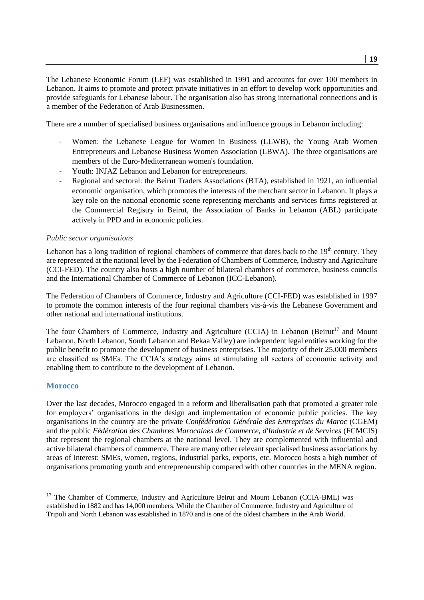The Lebanese Economic Forum (LEF) was established in 1991 and accounts for over 100 members in Lebanon. It aims to promote and protect private initiatives in an effort to develop work opportunities and provide safeguards for Lebanese labour. The organisation also has strong international connections and is a member of the Federation of Arab Businessmen.

There are a number of specialised business organisations and influence groups in Lebanon including:

- Women: the Lebanese League for Women in Business (LLWB), the Young Arab Women Entrepreneurs and Lebanese Business Women Association (LBWA). The three organisations are members of the Euro-Mediterranean women's foundation.
- Youth: INJAZ Lebanon and Lebanon for entrepreneurs.
- Regional and sectoral: the Beirut Traders Associations (BTA), established in 1921, an influential economic organisation, which promotes the interests of the merchant sector in Lebanon. It plays a key role on the national economic scene representing merchants and services firms registered at the Commercial Registry in Beirut, the Association of Banks in Lebanon (ABL) participate actively in PPD and in economic policies.

#### *Public sector organisations*

Lebanon has a long tradition of regional chambers of commerce that dates back to the  $19<sup>th</sup>$  century. They are represented at the national level by the Federation of Chambers of Commerce, Industry and Agriculture (CCI-FED). The country also hosts a high number of bilateral chambers of commerce, business councils and the International Chamber of Commerce of Lebanon (ICC-Lebanon).

The Federation of Chambers of Commerce, Industry and Agriculture (CCI-FED) was established in 1997 to promote the common interests of the four regional chambers vis-à-vis the Lebanese Government and other national and international institutions.

The four Chambers of Commerce, Industry and Agriculture (CCIA) in Lebanon (Beirut<sup>17</sup> and Mount Lebanon, North Lebanon, South Lebanon and Bekaa Valley) are independent legal entities working for the public benefit to promote the development of business enterprises. The majority of their 25,000 members are classified as SMEs. The CCIA's strategy aims at stimulating all sectors of economic activity and enabling them to contribute to the development of Lebanon.

#### <span id="page-18-0"></span>**Morocco**

1

Over the last decades, Morocco engaged in a reform and liberalisation path that promoted a greater role for employers' organisations in the design and implementation of economic public policies. The key organisations in the country are the private *Confédération Générale des Entreprises du Maroc* (CGEM) and the public *Fédération des Chambres Marocaines de Commerce, d'Industrie et de Services* (FCMCIS) that represent the regional chambers at the national level. They are complemented with influential and active bilateral chambers of commerce. There are many other relevant specialised business associations by areas of interest: SMEs, women, regions, industrial parks, exports, etc. Morocco hosts a high number of organisations promoting youth and entrepreneurship compared with other countries in the MENA region.

<sup>&</sup>lt;sup>17</sup> The Chamber of Commerce, Industry and Agriculture Beirut and Mount Lebanon (CCIA-BML) was established in 1882 and has 14,000 members. While the Chamber of Commerce, Industry and Agriculture of Tripoli and North Lebanon was established in 1870 and is one of the oldest chambers in the Arab World.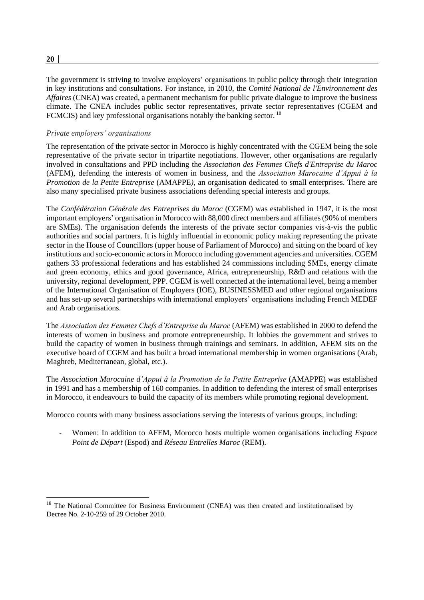# *Private employers' organisations*

The representation of the private sector in Morocco is highly concentrated with the CGEM being the sole representative of the private sector in tripartite negotiations. However, other organisations are regularly involved in consultations and PPD including the *Association des Femmes Chefs d'Entreprise du Maroc* (AFEM), defending the interests of women in business, and the *Association Marocaine d'Appui à la Promotion de la Petite Entreprise* (AMAPPE*),* an organisation dedicated to small enterprises. There are also many specialised private business associations defending special interests and groups.

The government is striving to involve employers' organisations in public policy through their integration in key institutions and consultations. For instance, in 2010, the *Comité National de l'Environnement des Affaires* (CNEA) was created, a permanent mechanism for public private dialogue to improve the business climate. The CNEA includes public sector representatives, private sector representatives (CGEM and

FCMCIS) and key professional organisations notably the banking sector.<sup>18</sup>

The *Confédération Générale des Entreprises du Maroc* (CGEM) was established in 1947, it is the most important employers' organisation in Morocco with 88,000 direct members and affiliates (90% of members are SMEs). The organisation defends the interests of the private sector companies vis-à-vis the public authorities and social partners. It is highly influential in economic policy making representing the private sector in the House of Councillors (upper house of Parliament of Morocco) and sitting on the board of key institutions and socio-economic actors in Morocco including government agencies and universities. CGEM gathers 33 professional federations and has established 24 commissions including SMEs, energy climate and green economy, ethics and good governance, Africa, entrepreneurship, R&D and relations with the university, regional development, PPP. CGEM is well connected at the international level, being a member of the International Organisation of Employers (IOE), BUSINESSMED and other regional organisations and has set-up several partnerships with international employers' organisations including French MEDEF and Arab organisations.

The *Association des Femmes Chefs d'Entreprise du Maroc* (AFEM) was established in 2000 to defend the interests of women in business and promote entrepreneurship. It lobbies the government and strives to build the capacity of women in business through trainings and seminars. In addition, AFEM sits on the executive board of CGEM and has built a broad international membership in women organisations (Arab, Maghreb, Mediterranean, global, etc.).

The *Association Marocaine d'Appui à la Promotion de la Petite Entreprise* (AMAPPE) was established in 1991 and has a membership of 160 companies. In addition to defending the interest of small enterprises in Morocco, it endeavours to build the capacity of its members while promoting regional development.

Morocco counts with many business associations serving the interests of various groups, including:

- Women: In addition to AFEM, Morocco hosts multiple women organisations including *Espace Point de Départ* (Espod) and *Réseau Entrelles Maroc* (REM).

-

<sup>&</sup>lt;sup>18</sup> The National Committee for Business Environment (CNEA) was then created and institutionalised by Decree No. 2-10-259 of 29 October 2010.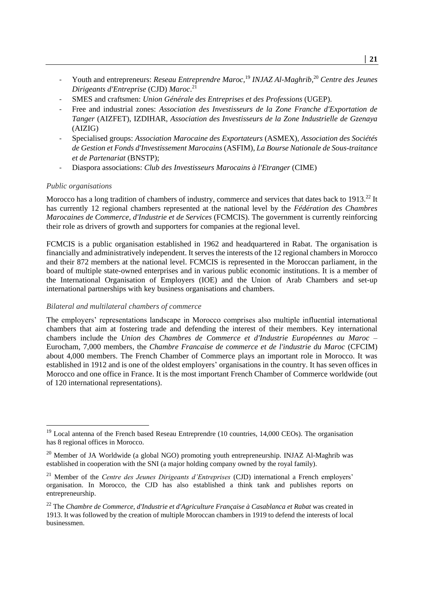- Youth and entrepreneurs: *Reseau Entreprendre Maroc,* <sup>19</sup> *INJAZ Al-Maghrib,* <sup>20</sup> *Centre des Jeunes Dirigeants d'Entreprise* (CJD) *Maroc*. 21
- SMES and craftsmen: *Union Générale des Entreprises et des Professions* (UGEP).
- Free and industrial zones: *Association des Investisseurs de la Zone Franche d'Exportation de Tanger* (AIZFET), IZDIHAR, *Association des Investisseurs de la Zone Industrielle de Gzenaya* (AIZIG)
- Specialised groups: *Association Marocaine des Exportateurs* (ASMEX), *Association des Sociétés de Gestion et Fonds d'Investissement Marocains* (ASFIM), *La Bourse Nationale de Sous-traitance et de Partenariat* (BNSTP);
- Diaspora associations: *Club des Investisseurs Marocains à l'Etranger* (CIME)

#### *Public organisations*

-

Morocco has a long tradition of chambers of industry, commerce and services that dates back to 1913.<sup>22</sup> It has currently 12 regional chambers represented at the national level by the *Fédération des Chambres Marocaines de Commerce, d'Industrie et de Services* (FCMCIS). The government is currently reinforcing their role as drivers of growth and supporters for companies at the regional level.

FCMCIS is a public organisation established in 1962 and headquartered in Rabat. The organisation is financially and administratively independent. It serves the interests of the 12 regional chambers in Morocco and their 872 members at the national level. FCMCIS is represented in the Moroccan parliament, in the board of multiple state-owned enterprises and in various public economic institutions. It is a member of the International Organisation of Employers (IOE) and the Union of Arab Chambers and set-up international partnerships with key business organisations and chambers.

#### *Bilateral and multilateral chambers of commerce*

The employers' representations landscape in Morocco comprises also multiple influential international chambers that aim at fostering trade and defending the interest of their members. Key international chambers include the *Union des Chambres de Commerce et d'Industrie Européennes au Maroc* – Eurocham, 7,000 members, the *Chambre Francaise de commerce et de l'industrie du Maroc* (CFCIM) about 4,000 members. The French Chamber of Commerce plays an important role in Morocco. It was established in 1912 and is one of the oldest employers' organisations in the country. It has seven offices in Morocco and one office in France. It is the most important French Chamber of Commerce worldwide (out of 120 international representations).

<sup>&</sup>lt;sup>19</sup> Local antenna of the French based Reseau Entreprendre (10 countries, 14,000 CEOs). The organisation has 8 regional offices in Morocco.

 $20$  Member of JA Worldwide (a global NGO) promoting youth entrepreneurship. INJAZ Al-Maghrib was established in cooperation with the SNI (a major holding company owned by the royal family).

<sup>21</sup> Member of the *Centre des Jeunes Dirigeants d'Entreprises* (CJD) international a French employers' organisation. In Morocco, the CJD has also established a think tank and publishes reports on entrepreneurship.

<sup>&</sup>lt;sup>22</sup> The *Chambre de Commerce, d'Industrie et d'Agriculture Française à Casablanca et Rabat* was created in 1913. It was followed by the creation of multiple Moroccan chambers in 1919 to defend the interests of local businessmen.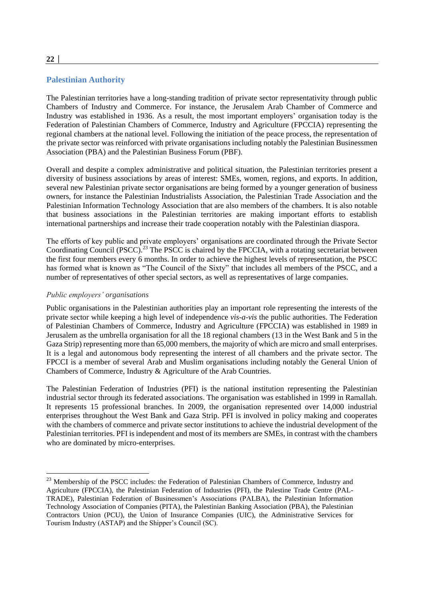#### <span id="page-21-0"></span>**Palestinian Authority**

The Palestinian territories have a long-standing tradition of private sector representativity through public Chambers of Industry and Commerce. For instance, the Jerusalem Arab Chamber of Commerce and Industry was established in 1936. As a result, the most important employers' organisation today is the Federation of Palestinian Chambers of Commerce, Industry and Agriculture (FPCCIA) representing the regional chambers at the national level. Following the initiation of the peace process, the representation of the private sector was reinforced with private organisations including notably the Palestinian Businessmen Association (PBA) and the Palestinian Business Forum (PBF).

Overall and despite a complex administrative and political situation, the Palestinian territories present a diversity of business associations by areas of interest: SMEs, women, regions, and exports. In addition, several new Palestinian private sector organisations are being formed by a younger generation of business owners, for instance the Palestinian Industrialists Association, the Palestinian Trade Association and the Palestinian Information Technology Association that are also members of the chambers. It is also notable that business associations in the Palestinian territories are making important efforts to establish international partnerships and increase their trade cooperation notably with the Palestinian diaspora.

The efforts of key public and private employers' organisations are coordinated through the Private Sector Coordinating Council (PSCC).<sup>23</sup> The PSCC is chaired by the FPCCIA, with a rotating secretariat between the first four members every 6 months. In order to achieve the highest levels of representation, the PSCC has formed what is known as "The Council of the Sixty" that includes all members of the PSCC, and a number of representatives of other special sectors, as well as representatives of large companies.

#### *Public employers' organisations*

-

Public organisations in the Palestinian authorities play an important role representing the interests of the private sector while keeping a high level of independence *vis-a-vis* the public authorities. The Federation of Palestinian Chambers of Commerce, Industry and Agriculture (FPCCIA) was established in 1989 in Jerusalem as the umbrella organisation for all the 18 regional chambers (13 in the West Bank and 5 in the Gaza Strip) representing more than 65,000 members, the majority of which are micro and small enterprises. It is a legal and autonomous body representing the interest of all chambers and the private sector. The FPCCI is a member of several Arab and Muslim organisations including notably the General Union of Chambers of Commerce, Industry & Agriculture of the Arab Countries.

The Palestinian Federation of Industries (PFI) is the national institution representing the Palestinian industrial sector through its federated associations. The organisation was established in 1999 in Ramallah. It represents 15 professional branches. In 2009, the organisation represented over 14,000 industrial enterprises throughout the West Bank and Gaza Strip. PFI is involved in policy making and cooperates with the chambers of commerce and private sector institutions to achieve the industrial development of the Palestinian territories. PFI is independent and most of its members are SMEs, in contrast with the chambers who are dominated by micro-enterprises.

<sup>&</sup>lt;sup>23</sup> Membership of the PSCC includes: the Federation of Palestinian Chambers of Commerce, Industry and Agriculture (FPCCIA), the Palestinian Federation of Industries (PFI), the Palestine Trade Centre (PAL-TRADE), Palestinian Federation of Businessmen's Associations (PALBA), the Palestinian Information Technology Association of Companies (PITA), the Palestinian Banking Association (PBA), the Palestinian Contractors Union (PCU), the Union of Insurance Companies (UIC), the Administrative Services for Tourism Industry (ASTAP) and the Shipper's Council (SC).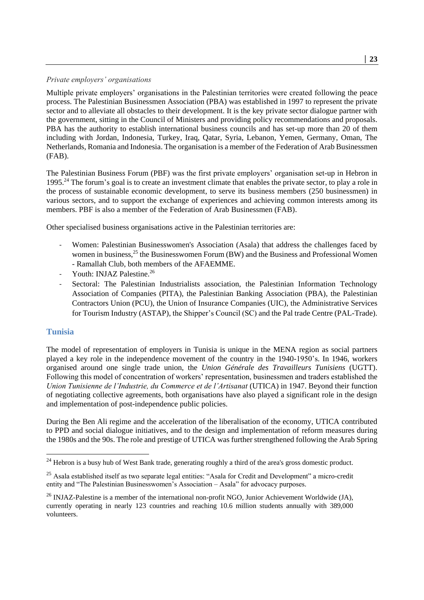#### *Private employers' organisations*

Multiple private employers' organisations in the Palestinian territories were created following the peace process. The Palestinian Businessmen Association (PBA) was established in 1997 to represent the private sector and to alleviate all obstacles to their development. It is the key private sector dialogue partner with the government, sitting in the Council of Ministers and providing policy recommendations and proposals. PBA has the authority to establish international business councils and has set-up more than 20 of them including with Jordan, Indonesia, Turkey, Iraq, Qatar, Syria, Lebanon, Yemen, Germany, Oman, The Netherlands, Romania and Indonesia. The organisation is a member of the Federation of Arab Businessmen (FAB).

The Palestinian Business Forum (PBF) was the first private employers' organisation set-up in Hebron in 1995.<sup>24</sup> The forum's goal is to create an investment climate that enables the private sector, to play a role in the process of sustainable economic development, to serve its business members (250 businessmen) in various sectors, and to support the exchange of experiences and achieving common interests among its members. PBF is also a member of the Federation of Arab Businessmen (FAB).

Other specialised business organisations active in the Palestinian territories are:

- Women: Palestinian Businesswomen's Association (Asala) that address the challenges faced by women in business,<sup>25</sup> the Businesswomen Forum (BW) and the Business and Professional Women - Ramallah Club, both members of the AFAEMME.
- Youth: INJAZ Palestine.<sup>26</sup>
- Sectoral: The Palestinian Industrialists association, the Palestinian Information Technology Association of Companies (PITA), the Palestinian Banking Association (PBA), the Palestinian Contractors Union (PCU), the Union of Insurance Companies (UIC), the Administrative Services for Tourism Industry (ASTAP), the Shipper's Council (SC) and the Pal trade Centre (PAL-Trade).

#### <span id="page-22-0"></span>**Tunisia**

-

The model of representation of employers in Tunisia is unique in the MENA region as social partners played a key role in the independence movement of the country in the 1940-1950's. In 1946, workers organised around one single trade union, the *Union Générale des Travailleurs Tunisiens* (UGTT). Following this model of concentration of workers' representation, businessmen and traders established the *Union Tunisienne de l'Industrie, du Commerce et de l'Artisanat* (UTICA) in 1947. Beyond their function of negotiating collective agreements, both organisations have also played a significant role in the design and implementation of post-independence public policies.

During the Ben Ali regime and the acceleration of the liberalisation of the economy, UTICA contributed to PPD and social dialogue initiatives, and to the design and implementation of reform measures during the 1980s and the 90s. The role and prestige of UTICA was further strengthened following the Arab Spring

<sup>&</sup>lt;sup>24</sup> Hebron is a busy hub of West Bank trade, generating roughly a third of the area's gross domestic product.

<sup>&</sup>lt;sup>25</sup> Asala established itself as two separate legal entities: "Asala for Credit and Development" a micro-credit entity and "The Palestinian Businesswomen's Association – Asala" for advocacy purposes.

 $^{26}$  INJAZ-Palestine is a member of the international non-profit NGO, Junior Achievement Worldwide (JA), currently operating in nearly 123 countries and reaching 10.6 million students annually with 389,000 volunteers.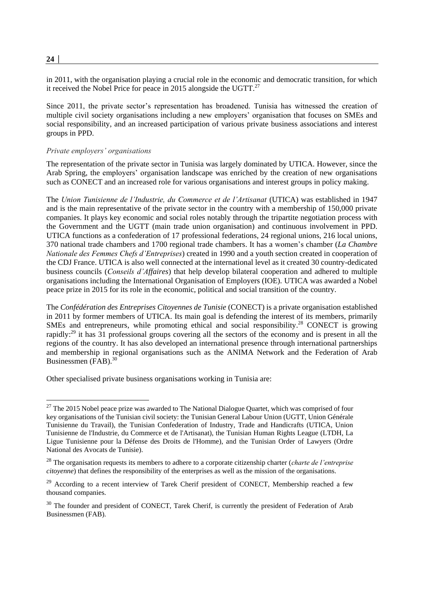in 2011, with the organisation playing a crucial role in the economic and democratic transition, for which it received the Nobel Price for peace in 2015 alongside the UGTT. $^{27}$ 

Since 2011, the private sector's representation has broadened. Tunisia has witnessed the creation of multiple civil society organisations including a new employers' organisation that focuses on SMEs and social responsibility, and an increased participation of various private business associations and interest groups in PPD.

#### *Private employers' organisations*

The representation of the private sector in Tunisia was largely dominated by UTICA. However, since the Arab Spring, the employers' organisation landscape was enriched by the creation of new organisations such as CONECT and an increased role for various organisations and interest groups in policy making.

The *Union Tunisienne de l'Industrie, du Commerce et de l'Artisanat* (UTICA) was established in 1947 and is the main representative of the private sector in the country with a membership of 150,000 private companies. It plays key economic and social roles notably through the tripartite negotiation process with the Government and the UGTT (main trade union organisation) and continuous involvement in PPD. UTICA functions as a confederation of 17 professional federations, 24 regional unions, 216 local unions, 370 national trade chambers and 1700 regional trade chambers. It has a women's chamber (*La Chambre Nationale des Femmes Chefs d'Entreprises*) created in 1990 and a youth section created in cooperation of the CDJ France. UTICA is also well connected at the international level as it created 30 country-dedicated business councils (*Conseils d'Affaires*) that help develop bilateral cooperation and adhered to multiple organisations including the International Organisation of Employers (IOE). UTICA was awarded a Nobel peace prize in 2015 for its role in the economic, political and social transition of the country.

The *Confédération des Entreprises Citoyennes de Tunisie* (CONECT) is a private organisation established in 2011 by former members of UTICA. Its main goal is defending the interest of its members, primarily SMEs and entrepreneurs, while promoting ethical and social responsibility.<sup>28</sup> CONECT is growing rapidly:<sup>29</sup> it has 31 professional groups covering all the sectors of the economy and is present in all the regions of the country. It has also developed an international presence through international partnerships and membership in regional organisations such as the ANIMA Network and the Federation of Arab Businessmen (FAB). 30

Other specialised private business organisations working in Tunisia are:

**24 │** 

-

<sup>&</sup>lt;sup>27</sup> The 2015 Nobel peace prize was awarded to The National Dialogue Quartet, which was comprised of four key organisations of the Tunisian civil society: the Tunisian General Labour Union (UGTT, Union Générale Tunisienne du Travail), the Tunisian Confederation of Industry, Trade and Handicrafts (UTICA, Union Tunisienne de l'Industrie, du Commerce et de l'Artisanat), the Tunisian Human Rights League (LTDH, La Ligue Tunisienne pour la Défense des Droits de l'Homme), and the Tunisian Order of Lawyers (Ordre National des Avocats de Tunisie).

<sup>28</sup> The organisation requests its members to adhere to a corporate citizenship charter (*charte de l'entreprise citoyenne*) that defines the responsibility of the enterprises as well as the mission of the organisations.

 $^{29}$  According to a recent interview of Tarek Cherif president of CONECT, Membership reached a few thousand companies.

<sup>&</sup>lt;sup>30</sup> The founder and president of CONECT, Tarek Cherif, is currently the president of Federation of Arab Businessmen (FAB).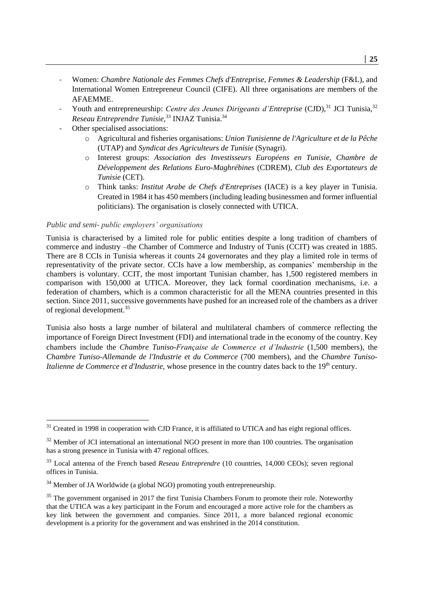- Women: *Chambre Nationale des Femmes Chefs d'Entreprise, Femmes & Leadership* (F&L), and International Women Entrepreneur Council (CIFE). All three organisations are members of the AFAEMME.
- Youth and entrepreneurship: *Centre des Jeunes Dirigeants d'Entreprise* (CJD),<sup>31</sup> JCI Tunisia,<sup>32</sup> *Reseau Entreprendre Tunisie,* <sup>33</sup> INJAZ Tunisia. 34
- Other specialised associations:
	- o Agricultural and fisheries organisations: *Union Tunisienne de l'Agriculture et de la Pêche* (UTAP) and *Syndicat des Agriculteurs de Tunisie* (Synagri).
	- o Interest groups: *Association des Investisseurs Européens en Tunisie*, *Chambre de Développement des Relations Euro-Maghrébines* (CDREM), *Club des Exportateurs de Tunisie* (CET).
	- o Think tanks: *Institut Arabe de Chefs d'Entreprises* (IACE) is a key player in Tunisia. Created in 1984 it has 450 members (including leading businessmen and former influential politicians). The organisation is closely connected with UTICA.

#### *Public and semi- public employers' organisations*

-

Tunisia is characterised by a limited role for public entities despite a long tradition of chambers of commerce and industry –the Chamber of Commerce and Industry of Tunis (CCIT) was created in 1885. There are 8 CCIs in Tunisia whereas it counts 24 governorates and they play a limited role in terms of representativity of the private sector. CCIs have a low membership, as companies' membership in the chambers is voluntary. CCIT, the most important Tunisian chamber, has 1,500 registered members in comparison with 150,000 at UTICA. Moreover, they lack formal coordination mechanisms, i.e. a federation of chambers, which is a common characteristic for all the MENA countries presented in this section. Since 2011, successive governments have pushed for an increased role of the chambers as a driver of regional development. 35

Tunisia also hosts a large number of bilateral and multilateral chambers of commerce reflecting the importance of Foreign Direct Investment (FDI) and international trade in the economy of the country. Key chambers include the *Chambre Tuniso-Française de Commerce et d'Industrie* (1,500 members), the *Chambre Tuniso-Allemande de l'Industrie et du Commerce* (700 members), and the *Chambre Tuniso-Italienne de Commerce et d'Industrie*, whose presence in the country dates back to the 19<sup>th</sup> century.

 $31$  Created in 1998 in cooperation with CJD France, it is affiliated to UTICA and has eight regional offices.

<sup>&</sup>lt;sup>32</sup> Member of JCI international an international NGO present in more than 100 countries. The organisation has a strong presence in Tunisia with 47 regional offices.

<sup>33</sup> Local antenna of the French based *Reseau Entreprendre* (10 countries, 14,000 CEOs); seven regional offices in Tunisia.

<sup>&</sup>lt;sup>34</sup> Member of JA Worldwide (a global NGO) promoting youth entrepreneurship.

 $35$  The government organised in 2017 the first Tunisia Chambers Forum to promote their role. Noteworthy that the UTICA was a key participant in the Forum and encouraged a more active role for the chambers as key link between the government and companies. Since 2011, a more balanced regional economic development is a priority for the government and was enshrined in the 2014 constitution.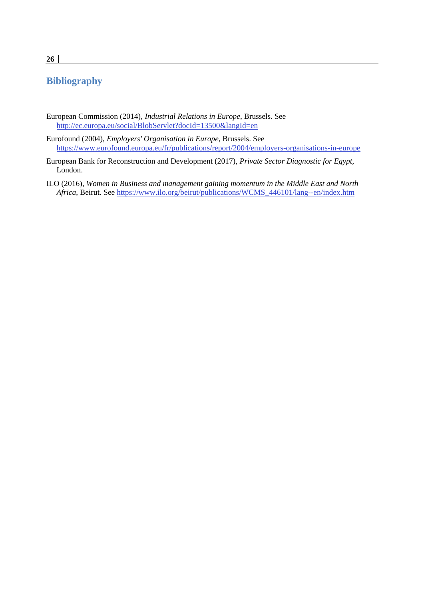# **Bibliography**

- European Commission (2014), *Industrial Relations in Europe*, Brussels. See <http://ec.europa.eu/social/BlobServlet?docId=13500&langId=en>
- Eurofound (2004), *Employers' Organisation in Europe*, Brussels. See <https://www.eurofound.europa.eu/fr/publications/report/2004/employers-organisations-in-europe>
- European Bank for Reconstruction and Development (2017), *Private Sector Diagnostic for Egypt,*  London.
- ILO (2016), *Women in Business and management gaining momentum in the Middle East and North Africa*, Beirut. See [https://www.ilo.org/beirut/publications/WCMS\\_446101/lang--en/index.htm](https://www.ilo.org/beirut/publications/WCMS_446101/lang--en/index.htm)